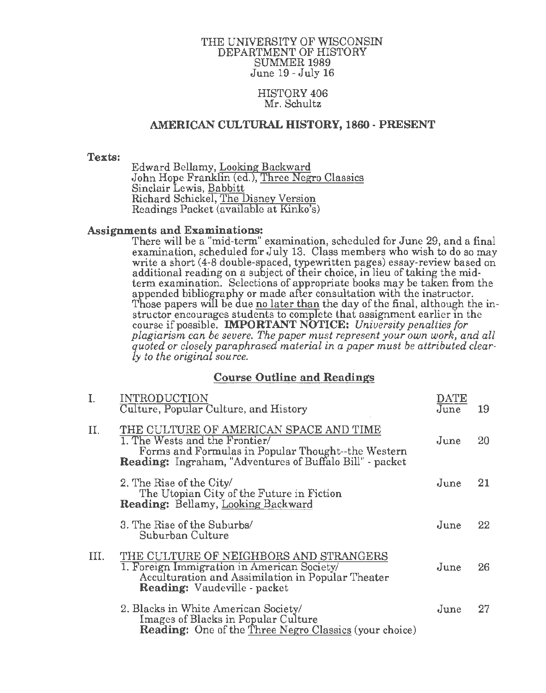## THE UNIVERSITY OF WISCONSIN DEPARTMENT OF HISTORY SUMMER 1989 June 19- July 16

# HISTORY 406 Mr. Schultz

# AMERICAN CULTURAL HISTORY, 1860 ·PRESENT

# Texts:

Edward Bellamy, Looking Backward John Hope Franklin (ed.), Three Negro Classics Sinclair Lewis, Babbitt Richard Schickel, The Disney Version Readings Packet (available at Kinko's)

# Assignments and Examinations:

There will be a "mid-term" examination, scheduled for June 29, and a final examination, scheduled for July 13. Class members who wish to do so may write a short (4-8 double-spaced, typewritten pages) essay-review based on additional reading on a subject of their choice, in lieu of taking the midterm examination. Selections of appropriate books may be taken from the appended bibliography or made after consultation with the instructor. Those papers will be due no later than the day of the final, although the instructor encourages students to complete that assignment earlier in the course if possible. IMPORTANT NOTICE: *University penalties for plagiarism can be severe. The paper must represent your own work, and all quoted or closely paraphrased material in a paper must be attributed clearly to the original source.* 

# Course Outline and Readings

| I.   | <b>INTRODUCTION</b><br>Culture, Popular Culture, and History                                                                                                                               | DATE<br>June | 19 |
|------|--------------------------------------------------------------------------------------------------------------------------------------------------------------------------------------------|--------------|----|
| II.  | THE CULTURE OF AMERICAN SPACE AND TIME<br>1. The Wests and the Frontier/<br>Forms and Formulas in Popular Thought--the Western<br>Reading: Ingraham, "Adventures of Buffalo Bill" - packet | June         | 20 |
|      | 2. The Rise of the City<br>The Utopian City of the Future in Fiction<br><b>Reading: Bellamy, Looking Backward</b>                                                                          | June         | 21 |
|      | 3. The Rise of the Suburbs/<br>Suburban Culture                                                                                                                                            | June         | 22 |
| III. | THE CULTURE OF NEIGHBORS AND STRANGERS<br>1. Foreign Immigration in American Society/<br>Acculturation and Assimilation in Popular Theater<br><b>Reading:</b> Vaudeville - packet          | June         | 26 |
|      | 2. Blacks in White American Society/<br>Images of Blacks in Popular Culture<br><b>Reading:</b> One of the Three Negro Classics (your choice)                                               | June         | 27 |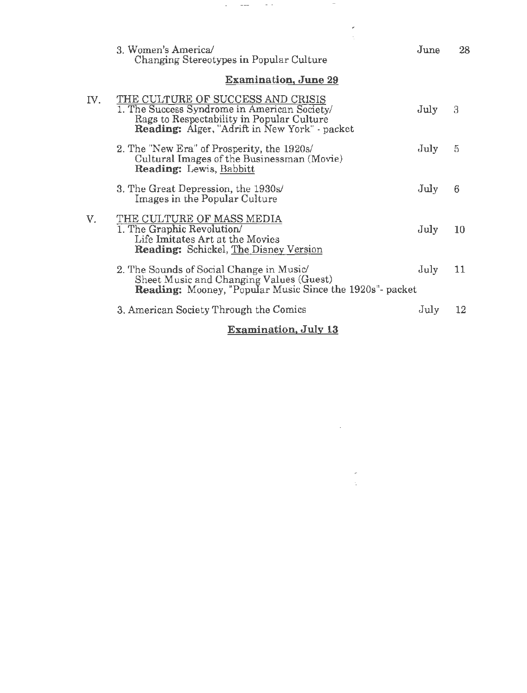|     | 3. Women's America/<br>Changing Stereotypes in Popular Culture                                                                                                                         | June | 28              |
|-----|----------------------------------------------------------------------------------------------------------------------------------------------------------------------------------------|------|-----------------|
|     | <b>Examination, June 29</b>                                                                                                                                                            |      |                 |
| IV. | THE CULTURE OF SUCCESS AND CRISIS<br>1. The Success Syndrome in American Society/<br>Rags to Respectability in Popular Culture<br><b>Reading:</b> Alger, "Adrift in New York" - packet | July | 3               |
|     | 2. The "New Era" of Prosperity, the 1920s/<br>Cultural Images of the Businessman (Movie)<br><b>Reading:</b> Lewis, Babbitt                                                             | July | 5               |
|     | 3. The Great Depression, the 1930s/<br>Images in the Popular Culture                                                                                                                   | July | 6               |
| V.  | THE CULTURE OF MASS MEDIA<br>1. The Graphic Revolution/<br>Life Imitates Art at the Movies<br>Reading: Schickel, The Disney Version                                                    | July | 10              |
|     | 2. The Sounds of Social Change in Music<br>Sheet Music and Changing Values (Guest)<br>Reading: Mooney, "Popular Music Since the 1920s"- packet                                         | July | 11              |
|     | 3. American Society Through the Comics                                                                                                                                                 | July | $12\phantom{.}$ |
|     | <b>Examination, July 13</b>                                                                                                                                                            |      |                 |

 $\epsilon_{\rm{eff}}$  , and  $\epsilon_{\rm{eff}}$ 

and the state of the state

 $\label{eq:2.1} \frac{1}{\sqrt{2\pi}}\frac{1}{\sqrt{2\pi}}\sum_{i=1}^N\frac{1}{\sqrt{2\pi}}\left(\frac{1}{\sqrt{2\pi}}\right)^2\frac{1}{\sqrt{2\pi}}\sum_{i=1}^N\frac{1}{\sqrt{2\pi}}\frac{1}{\sqrt{2\pi}}\frac{1}{\sqrt{2\pi}}\frac{1}{\sqrt{2\pi}}\frac{1}{\sqrt{2\pi}}\frac{1}{\sqrt{2\pi}}\frac{1}{\sqrt{2\pi}}\frac{1}{\sqrt{2\pi}}\frac{1}{\sqrt{2\pi}}\frac{1}{\sqrt{2\pi}}\frac{1}{\sqrt$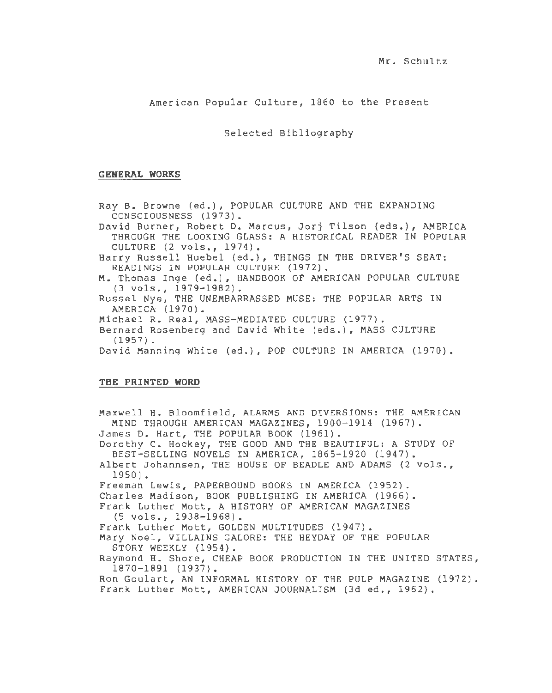American Popular Culture, 1860 to the Present

Selected Bibliography

## **GENERAL WORKS**

Ray B. Browne (ed.), POPULAR CULTURE AND THE EXPANDING CONSCIOUSNESS (1973). David Burner, Robert D. Marcus, Jorj Tilson (eds.), AMERICA THROUGH THE LOOKING GLASS: A HISTORICAL READER IN POPULAR CULTURE (2 vols., 1974). Harry Russell Huebel (ed.), THINGS IN THE DRIVER'S SEAT: READINGS IN POPULAR CULTURE (1972). M. Thomas Inge (ed.), HANDBOOK OF AMERICAN POPULAR CULTURE (3 vols., 1979-1982). Russel Nye, THE UNEMBARRASSED MUSE: THE POPULAR ARTS IN AMERICA (1970). Michael R. Real, MASS-MEDIATED CULTURE (1977). Bernard Rosenberg and David White (eds.), MASS CULTURE (1957). David Manning White (ed.), POP CULTURE IN AMERICA (1970).

### **THE PRINTED WORD**

Maxwell H. Bloomfield, ALARMS AND DIVERSIONS: THE AMERICAN MIND THROUGH AMERICAN MAGAZINES, 1900-1914 (1967). James D. Hart, THE POPULAR BOOK (1961). Dorothy C. Hockey, THE GOOD AND THE BEAUTIFUL: A STUDY OF BEST-SELLING NOVELS IN AMERICA, 1865-1920 (1947). Albert Johannsen, THE HOUSE OF BEADLE AND ADAMS (2 vols., 1950). Freeman Lewis, PAPERBOUND BOOKS IN AMERICA (1952). Charles Madison, BOOK PUBLISHING IN AMERICA (1966). Frank Luther Mott, A HISTORY OF AMERICAN MAGAZINES (5 vols., 1938-1968). Frank Luther Mott, GOLDEN MULTITUDES (1947). Mary Noel, VILLAINS GALORE: THE HEYDAY OF THE POPULAR STORY WEEKLY (1954). Raymond H. Shore, CHEAP BOOK PRODUCTION IN THE UNITED STATES, 1870-1891 (1937). Ron Goulart, AN INFORMAL HISTORY OF THE PULP MAGAZINE (1972). Frank Luther Mott, AMERICAN JOURNALISM (3d ed., 1962).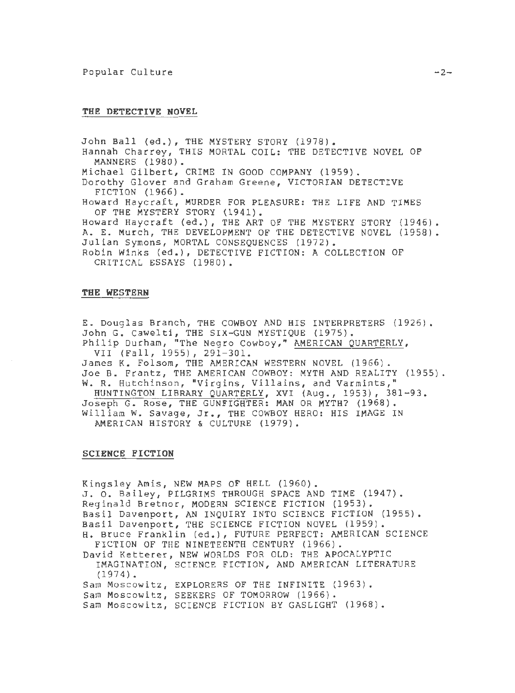#### **THE DETECTIVE NOVEL**

John Ball (ed.), THE MYSTERY STORY (1978). Hannah Charrey, THIS MORTAL COIL: THE DETECTIVE NOVEL OF MANNERS (1980). Michael Gilbert, CRIME IN GOOD COMPANY (1959). Dorothy Glover and Graham Greene, VICTORIAN DETECTIVE FICTION (1966). Howard Haycraft, MURDER FOR PLEASURE: THE LIFE AND TIMES OF THE MYSTERY STORY (1941). Howard Haycraft (ed.), THE ART OF THE MYSTERY STORY (1946). A. E. Murch, THE DEVELOPMENT OF THE DETECTIVE NOVEL (1958). Julian Symons, MORTAL CONSEQUENCES (1972). Robin Winks (ed.), DETECTIVE FICTION: A COLLECTION OF CRITICAL ESSAYS (1980).

### **THE WESTERN**

E. Douglas Branch, THE COWBOY AND HIS INTERPRETERS (1926). John G. Cawelti, THE SIX-GUN MYSTIQUE (1975). Philip Durham, "The Negro Cowboy," AMERICAN QUARTERLY,

VII (Fall, 1955), 291-301. James K. Folsom, THE AMERICAN WESTERN NOVEL (1966). Joe B. Frantz, THE AMERICAN COWBOY: MYTH AND REALITY (1955). W. R. Hutchinson, "Virgins, Villains, and Varmints," HUNTINGTON LIBRARY QUARTERLY, XVI (Aug., 1953) *1* 381-93. Joseph G. Rose, THE GUNFIGHTER: MAN OR MYTH? (1968). William W. Savage, Jr., THE COWBOY HERO: HIS IMAGE IN

AMERICAN HISTORY & CULTURE (1979).

## **SCIENCE FICTION**

Kingsley Amis, NEW MAPS OF HELL (1960). J. 0. Bailey, PILGRIMS THROUGH SPACE AND TIME (1947). Reginald Bretnor, MODERN SCIENCE FICTION (1953). Basil Davenport, AN INQUIRY INTO SCIENCE FICTION (1955). Basil Davenport, THE SCIENCE FICTION NOVEL (1959). H. Bruce Franklin (ed.), FUTURE PERFECT: AMERICAN SCIENCE FICTION OF THE NINETEENTH CENTURY (1966). David Ketterer, NEW WORLDS FOR OLD: THE APOCALYPTIC IMAGINATION, SCIENCE FICTION, AND AMERICAN LITERATURE (1974). Sam Moscowitz, EXPLORERS OF THE INFINITE (1963). Sam Moscowitz, SEEKERS OF TOMORROW (1966).

Sam Moscowitz, SCIENCE FICTION BY GASLIGHT (1968).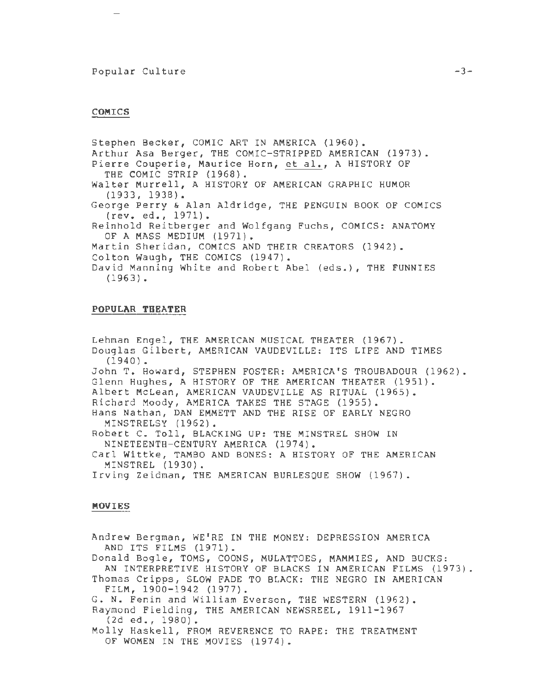## Popular Culture

#### **COMICS**

Stephen Becker, COMIC ART IN AMERICA (1960). Arthur Asa Berger, THE COMIC-STRIPPED AMERICAN (1973). Pierre Couperie, Maurice Horn, et al., A HISTORY OF THE COMIC STRIP (1968). Walter Murrell, A HISTORY OF AMERICAN GRAPHIC HUMOR (1933, 1938). George Perry & Alan Aldridge, THE PENGUIN BOOK OF COMICS (rev. ed., 1971). Reinhold Reitberger and Wolfgang Fuchs, COMICS: ANATOMY OF A MASS MEDIUM (1971). Martin Sheridan, COMICS AND THEIR CREATORS (1942). Colton Waugh, THE COMICS (1947). David Manning White and Robert Abel (eds.), THE FUNNIES (1963).

#### **POPULAR THEATER**

Lehman Engel, THE AMERICAN MUSICAL THEATER (1967). Douglas Gilbert, AMERICAN VAUDEVILLE: ITS LIFE AND TIMES (1940). John T. Howard, STEPHEN FOSTER: AMERICA'S TROUBADOUR (1962). Glenn Hughes, A HISTORY OF THE AMERICAN THEATER (1951). Albert McLean, AMERICAN VAUDEVILLE AS RITUAL (1965). Richard Moody, AMERICA TAKES THE STAGE (1955). Hans Nathan, DAN EMMETT AND THE RISE OF EARLY NEGRO MINSTRELSY (1962). Robert C. Toll, BLACKING UP: THE MINSTREL SHOW IN NINETEENTH-CENTURY AMERICA (1974). Carl Wittke, TAMBO AND BONES: A HISTORY OF THE AMERICAN MINSTREL (1930). Irving Zeidman, THE AMERICAN BURLESQUE SHOW (1967).

#### **MOVIES**

Andrew Bergman, WE'RE IN THE MONEY: DEPRESSION AMERICA AND ITS FILMS (1971). Donald Bogle, TOMS, COONS, MULATTOES, MAMMIES, AND BUCKS: AN INTERPRETIVE HISTORY OF BLACKS IN AMERICAN FILMS (1973). Thomas Cripps, SLOW FADE TO BLACK: THE NEGRO IN AMERICAN FILM, 1900-1942 (1977). G. N. Fenin and William Everson, THE WESTERN (1962). Raymond Fielding, THE AMERICAN NEWSREEL, 1911-1967 (2d ed., 1980). Molly Haskell, FROM REVERENCE TO RAPE: THE TREATMENT OF WOMEN IN THE MOVIES (1974).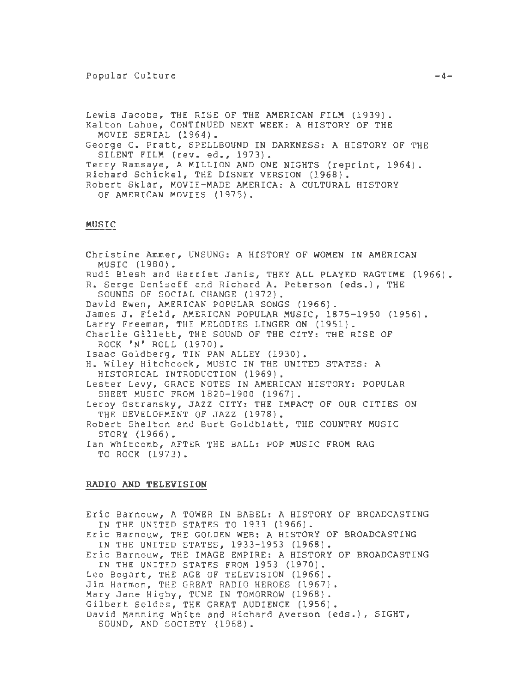### Popular Culture

Lewis Jacobs, THE RISE OF THE AMERICAN FILM (1939). Kalton Lahue, CONTINUED NEXT WEEK: A HISTORY OF THE MOVIE SERIAL (1964). George C. Pratt, SPELLBOUND IN DARKNESS: A HISTORY OF THE SILENT FILM (rev. ed., 1973). Terry Ramsaye, A MILLION AND ONE NIGHTS (reprint, 1964). Richard Schickel, THE DISNEY VERSION (1968). Robert Sklar, MOVIE-MADE AMERICA: A CULTURAL HISTORY OF AMERICAN MOVIES (1975).

## MUSIC

Christine Ammer, UNSUNG: A HISTORY OF WOMEN IN AMERICAN MUSIC (1980). Rudi Blesh and Harriet Janis, THEY ALL PLAYED RAGTIME (1966). R. Serge Denisoff and Richard A. Peterson (eds.), THE SOUNDS OF SOCIAL CHANGE (1972). David Ewen, AMERICAN POPULAR SONGS (1966). James J. Field, AMERICAN POPULAR MUSIC, 1875-1950 (1956). Larry Freeman, THE MELODIES LINGER ON (1951). Charlie Gillett, THE SOUND OF THE CITY: THE RISE OF ROCK 'N' ROLL (1970). Isaac Goldberg, TIN PAN ALLEY (1930). H. Wiley Hitchcock, MUSIC IN THE UNITED STATES: A HISTORICAL INTRODUCTION (1969). Lester Levy, GRACE NOTES IN AMERICAN HISTORY: POPULAR SHEET MUSIC FROM 1820-1900 (1967). Leroy Ostransky, JAZZ CITY: THE IMPACT OF OUR CITIES ON THE DEVELOPMENT OF JAZZ (1978). Robert Shelton and Burt Goldblatt, THE COUNTRY MUSIC STORY (1966). Ian Whitcomb, AFTER THE BALL: POP MUSIC FROM RAG TO ROCK (1973).

#### RADIO AND TELEVISION

Eric Barnouw, A TOWER IN BABEL: A HISTORY OF BROADCASTING IN THE UNITED STATES TO 1933 (1966). Eric Barnouw, THE GOLDEN WEB: A HISTORY OF BROADCASTING IN THE UNITED STATES, 1933-1953 (1968). Eric Barnouw, THE IMAGE EMPIRE: A HISTORY OF BROADCASTING IN THE UNITED STATES FROM 1953 (1970). Leo Bogart, THE AGE OF TELEVISION (1966). Jim Harmon, THE GREAT RADIO HEROES (1967). Mary Jane Higby, TUNE IN TOMORROW (1968). Gilbert Seldes, THE GREAT AUDIENCE (1956). David Manning White and Richard Averson (eds.), SIGHT, SOUND, AND SOCIETY (1968).